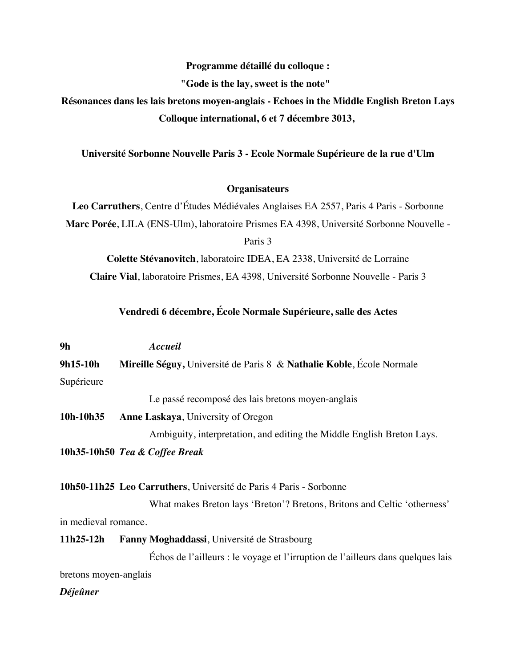## **Programme détaillé du colloque :**

**"Gode is the lay, sweet is the note"** 

**Résonances dans les lais bretons moyen-anglais - Echoes in the Middle English Breton Lays Colloque international, 6 et 7 décembre 3013,**

**Université Sorbonne Nouvelle Paris 3 - Ecole Normale Supérieure de la rue d'Ulm**

## **Organisateurs**

**Leo Carruthers**, Centre d'Études Médiévales Anglaises EA 2557, Paris 4 Paris - Sorbonne **Marc Porée**, LILA (ENS-Ulm), laboratoire Prismes EA 4398, Université Sorbonne Nouvelle - Paris 3

**Colette Stévanovitch**, laboratoire IDEA, EA 2338, Université de Lorraine **Claire Vial**, laboratoire Prismes, EA 4398, Université Sorbonne Nouvelle - Paris 3

## **Vendredi 6 décembre, École Normale Supérieure, salle des Actes**

| 9h                    | Accueil                                                                         |
|-----------------------|---------------------------------------------------------------------------------|
| 9h15-10h              | Mireille Séguy, Université de Paris 8 & Nathalie Koble, École Normale           |
| Supérieure            |                                                                                 |
|                       | Le passé recomposé des lais bretons moyen-anglais                               |
| 10h-10h35             | <b>Anne Laskaya</b> , University of Oregon                                      |
|                       | Ambiguity, interpretation, and editing the Middle English Breton Lays.          |
|                       | 10h35-10h50 Tea & Coffee Break                                                  |
|                       |                                                                                 |
|                       | 10h50-11h25 Leo Carruthers, Université de Paris 4 Paris - Sorbonne              |
|                       | What makes Breton lays 'Breton'? Bretons, Britons and Celtic 'otherness'        |
| in medieval romance.  |                                                                                 |
| 11h25-12h             | Fanny Moghaddassi, Université de Strasbourg                                     |
|                       | Échos de l'ailleurs : le voyage et l'irruption de l'ailleurs dans quelques lais |
| bretons moyen-anglais |                                                                                 |
|                       |                                                                                 |

*Déjeûner*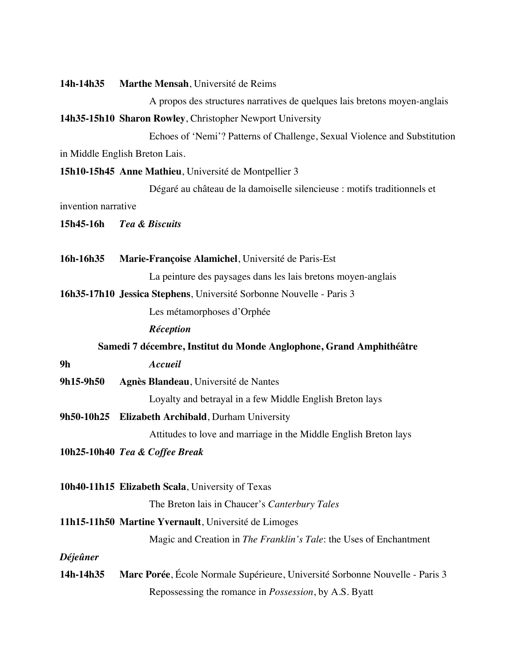**14h-14h35 Marthe Mensah**, Université de Reims

A propos des structures narratives de quelques lais bretons moyen-anglais

**14h35-15h10 Sharon Rowley**, Christopher Newport University

Echoes of 'Nemi'? Patterns of Challenge, Sexual Violence and Substitution in Middle English Breton Lais.

**15h10-15h45 Anne Mathieu**, Université de Montpellier 3

Dégaré au château de la damoiselle silencieuse : motifs traditionnels et

invention narrative

- **15h45-16h** *Tea & Biscuits*
- **16h-16h35 Marie-Françoise Alamichel**, Université de Paris-Est La peinture des paysages dans les lais bretons moyen-anglais

**16h35-17h10 Jessica Stephens**, Université Sorbonne Nouvelle - Paris 3

Les métamorphoses d'Orphée

*Réception*

**Samedi 7 décembre, Institut du Monde Anglophone, Grand Amphithéâtre**

**9h** *Accueil*

**9h15-9h50 Agnès Blandeau**, Université de Nantes

Loyalty and betrayal in a few Middle English Breton lays

**9h50-10h25 Elizabeth Archibald**, Durham University

Attitudes to love and marriage in the Middle English Breton lays

**10h25-10h40** *Tea & Coffee Break*

**10h40-11h15 Elizabeth Scala**, University of Texas

The Breton lais in Chaucer's *Canterbury Tales*

## **11h15-11h50 Martine Yvernault**, Université de Limoges

Magic and Creation in *The Franklin's Tale*: the Uses of Enchantment

*Déjeûner*

**14h-14h35 Marc Porée**, École Normale Supérieure, Université Sorbonne Nouvelle - Paris 3 Repossessing the romance in *Possession*, by A.S. Byatt